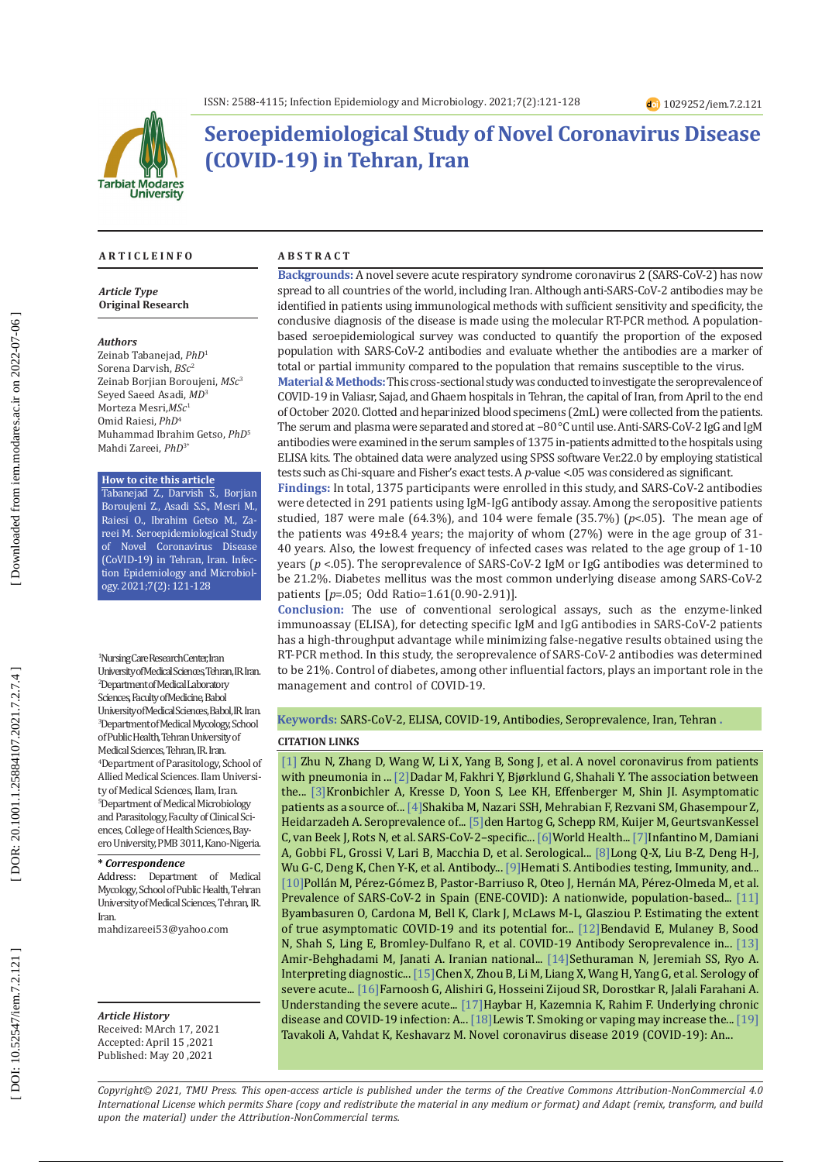

# **Seroepidemiological Study of Novel Coronavirus Disease (COVID-19) in Tehran, Iran**

#### **A R T I C L E I N F O A B S T R A C T**

*Article Type* **Original Research**

#### *Authors*

Zeinab Tabanejad, *PhD* 1 Sorena Darvish, *BSc* 2 Zeinab Borjian Boroujeni, *MSc* 3 Seyed Saeed Asadi, *MD* 3 Morteza Mesri,*MSc* 1 Omid Raiesi, *PhD* 4 Muhammad Ibrahim Getso, *PhD* 5 Mahdi Zareei, *PhD* 3 \*

#### **How to cite this article**

Tabanejad Z., Darvish S., Borjian Boroujeni Z., Asadi S.S., Mesri M., Raiesi O., Ibrahim Getso M., Za reei M. Seroepidemiological Study of Novel Coronavirus Disease (CoVID-19) in Tehran, Iran. Infec tion Epidemiology and Microbiol ogy. 2021;7(2): 121-128

1 Nursing Care Research Center, Iran University of Medical Sciences, Tehran, IR. Iran. 2 Department of Medical Laboratory Sciences, Faculty of Medicine, Babol University of Medical Sciences, Babol, IR. Iran. 3 Department of Medical Mycology, School of Public Health, Tehran University of Medical Sciences, Tehran, IR. Iran. 4 Department of Parasitology, School of Allied Medical Sciences. Ilam Universi ty of Medical Sciences, Ilam, Iran. 5 Department of Medical Microbiology and Parasitology, Faculty of Clinical Sci ences, College of Health Sciences, Bayero University, PMB 3011, Kano-Nigeria.

#### **\*** *Correspondence*

Address: Department of Medical Mycology, School of Public Health, Tehran University of Medical Sciences, Tehran, IR. Iran.

[mahdizareei53@yahoo.com](mailto:mahdizareei53@yahoo.com)

## *Article History* Received: MArch 17, 2021

Accepted: April 15 ,2021 Published: May 20 ,2021

**Backgrounds:** A novel severe acute respiratory syndrome coronavirus 2 (SARS-CoV-2) has now spread to all countries of the world, including Iran. Although anti-SARS-CoV-2 antibodies may be identified in patients using immunological methods with sufficient sensitivity and specificity, the conclusive diagnosis of the disease is made using the molecular RT-PCR method. A populationbased seroepidemiological survey was conducted to quantify the proportion of the exposed population with SARS-CoV-2 antibodies and evaluate whether the antibodies are a marker of total or partial immunity compared to the population that remains susceptible to the virus.

**Material & Methods:**This cross-sectional study was conducted to investigate the seroprevalence of COVID-19 in Valiasr, Sajad, and Ghaem hospitals in Tehran, the capital of Iran, from April to the end of October 2020. Clotted and heparinized blood specimens (2mL) were collected from the patients. The serum and plasma were separated and stored at −80 °C until use. Anti-SARS-CoV-2 IgG and IgM antibodies were examined in the serum samples of 1375 in-patients admitted to the hospitals using ELISA kits. The obtained data were analyzed using SPSS software Ver.22.0 by employing statistical tests such as Chi-square and Fisher's exact tests. A *p*-value <.05 was considered as significant.

**Findings:** In total, 1375 participants were enrolled in this study, and SARS -CoV-2 antibodies were detected in 291 patients using IgM -IgG antibody assay. Among the seropositive patients studied, 187 were male (64.3%), and 104 were female (35.7%) ( *p*<.05). The mean age of the patients was 49±8.4 years; the majority of whom (27%) were in the age group of 31- 40 years. Also, the lowest frequency of infected cases was related to the age group of 1-10 years (*p* <.05). The seroprevalence of SARS -CoV-2 IgM or IgG antibodies was determined to be 21.2%. Diabetes mellitus was the most common underlying disease among SARS -CoV-2 patients [ *p*=.05; Odd Ratio=1.61(0.90-2.91)].

**Conclusion:** The use of conventional serological assays, such as the enzyme-linked immunoassay (ELISA), for detecting specific IgM and IgG antibodies in SARS ‐CoV‐2 patients has a high-throughput advantage while minimizing false-negative results obtained using the RT-PCR method. In this study, the seroprevalence of SARS-CoV-2 antibodies was determined to be 21%. Control of diabetes, among other influential factors, plays an important role in the management and control of COVID-19.

### **Keywords:** SARS-CoV-2, ELISA, COVID-19, Antibodies, Seroprevalence, Iran, Tehran **.**

### **CITATION LINKS**

[\[1\]](https://www.nejm.org/doi/full/10.1056/nejmoa2001017) Zhu N, Zhang D, Wang W, Li X, Yang B, Song J, et al. A novel coronavirus from patients with pneumonia in ... [\[2\]D](https://link.springer.com/article/10.1007/s00705-020-04774-5)adar M, Fakhri Y, Bjørklund G, Shahali Y. The association between the... [\[3\]K](https://www.sciencedirect.com/science/article/pii/S1201971220304872)ronbichler A, Kresse D, Yoon S, Lee KH, Effenberger M, Shin JI. Asymptomatic patients as a source of... [\[4\]](https://www.medrxiv.org/content/10.1101/2020.04.26.20079244v1.abstract)Shakiba M, Nazari SSH, Mehrabian F, Rezvani SM, Ghasempour Z, Heidarzadeh A. Seroprevalence of... [\[5\]d](https://academic.oup.com/jid/article-abstract/222/9/1452/5885163)en Hartog G, Schepp RM, Kuijer M, GeurtsvanKessel C, van Beek J, Rots N, et al. SARS-CoV-2–specific... [\[6\]](https://apps.who.int/iris/handle/10665/331656)World Health... [\[7\]I](https://www.researchgate.net/profile/Maria_Infantino2/publication/340655475_Serological_Assays_for_SARS-CoV-2_Infectious_Disease_Benefits_Limitations_and_Perspectives/links/5e9c61e4299bf13079a74bd4/Serological-Assays-for-SARS-CoV-2-Infectious-Disease-Bene\
fits-Limitations-and-Perspectives.pdf)nfantino M, Damiani A, Gobbi FL, Grossi V, Lari B, Macchia D, et al. Serological... [\[8\]](https://www.nature.com/articles/s41591-020-0897-1?ref=mainstreem-dotcom)Long Q-X, Liu B-Z, Deng H-J, Wu G-C, Deng K, Chen Y-K, et al. Antibody... [9] Hemati S. Antibodies testing, Immunity, and... [\[10\]](https://www.sciencedirect.com/science/article/pii/S0140673620314835)Pollán M, Pérez-Gómez B, Pastor-Barriuso R, Oteo J, Hernán MA, Pérez-Olmeda M, et al. Prevalence of SARS-CoV-2 in Spain (ENE-COVID): A nationwide, population-based... [\[11\]](https://www.medrxiv.org/content/10.1101/2020.05.10.20097543v3) Byambasuren O, Cardona M, Bell K, Clark J, McLaws M-L, Glasziou P. Estimating the extent of true asymptomatic COVID-19 and its potential for... [\[12\]](https://academic.oup.com/ije/article-abstract/50/2/410/6146069) Bendavid E, Mulaney B, Sood N, Shah S, Ling E, Bromley-Dulfano R, et al. COVID-19 Antibody Seroprevalence in... [\[13\]](https://emj.bmj.com/content/37/7/412.abstract) Amir-Behghadami M, Janati A. Iranian national... [\[14\]S](https://pubmed.ncbi.nlm.nih.gov/32374370/)ethuraman N, Jeremiah SS, Ryo A. Interpreting diagnostic... [\[15\]C](https://academic.oup.com/jid/article-abstract/189/7/1158/871418)hen X, Zhou B, Li M, Liang X, Wang H, Yang G, et al. Serology of severe acute... [\[16\]](https://militarymedj.ir/article-1-2430-en.html)Farnoosh G, Alishiri G, Hosseini Zijoud SR, Dorostkar R, Jalali Farahani A. Understanding the severe acute... [\[17\]](https://www.sid.ir/FileServer/JE/5060720200206.pdf)Haybar H, Kazemnia K, Rahim F. Underlying chronic disease and COVID-19 infection: A... [\[18\]](http://tobacco.cleartheair.org.hk/wp-content/uploads/2020/04/Smoking-Vaping-SARS.CoV2-ACE2-receptor_compressed.pdf) Lewis T. Smoking or vaping may increase the... [\[19\]](http://ismj.bpums.ac.ir/browse.php?a_code=A-10-296-8&sid=1&slc_lang=en) Tavakoli A, Vahdat K, Keshavarz M. Novel coronavirus disease 2019 (COVID-19): An...

*Copyright© 2021, TMU Press. This open-access article is published under the terms of the Creative Commons Attribution-NonCommercial 4.0 International License which permits Share (copy and redistribute the material in any medium or format) and Adapt (remix, transform, and build upon the material) under the Attribution-NonCommercial terms.*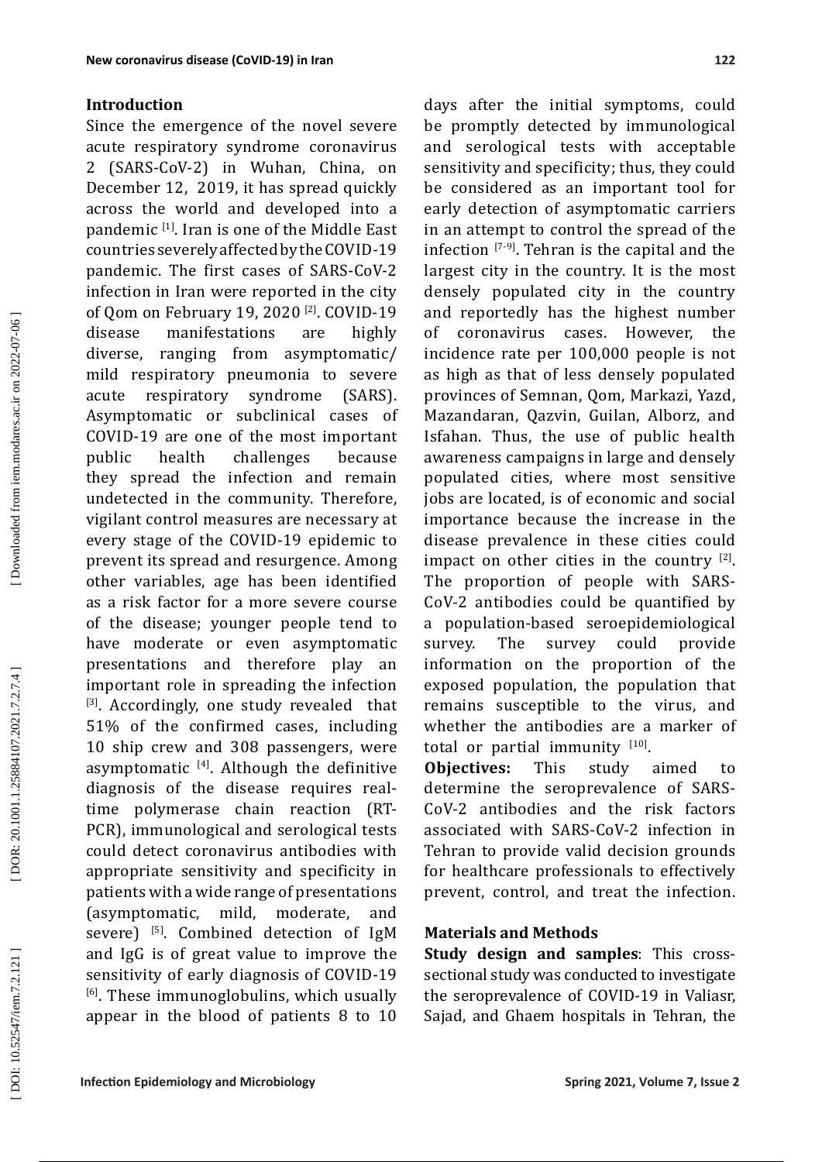## **Introduction**

Since the emergence of the novel severe acute respiratory syndrome coronavirus 2 (SARS -CoV -2) in Wuhan, China, on December 12, 2019, it has spread quickly across the world and developed into a pandemic [ 1 ] . Iran is one of the Middle East countries severely affected by the COVID-19 pandemic. The first cases of SARS-CoV-2 infection in Iran were reported in the city of Qom on February 19, 2020 [ 2 ] . COVID-19 disease manifestations are highly diverse, ranging from asymptomatic/ mild respiratory pneumonia to severe acute respiratory syndrome (SARS). Asymptomatic or subclinical cases of COVID-19 are one of the most important<br>public health challenges because health challenges because they spread the infection and remain undetected in the community. Therefore, vigilant control measures are necessary at every stage of the COVID -19 epidemic to prevent its spread and resurgence. Among other variables, age has been identified as a risk factor for a more severe course of the disease; younger people tend to have moderate or even asymptomatic presentations and therefore play an important role in spreading the infection<br><sup>[3]</sup>. Accordingly, one study revealed that 51% of the confirmed cases, including 10 ship crew and 308 passengers, were asymptomatic  $[4]$ . Although the definitive diagnosis of the disease requires realtime polymerase chain reaction (RT-PCR), immunological and serological tests could detect coronavirus antibodies with appropriate sensitivity and specificity in patients with a wide range of presentations (asymptomatic, mild, moderate, and severe) <sup>[5]</sup>. Combined detection of IgM and IgG is of great value to improve the sensitivity of early diagnosis of COVID -19 <sup>[6]</sup>. These immunoglobulins, which usually appear in the blood of patients 8 to 10

days after the initial symptoms, could be promptly detected by immunological and serological tests with acceptable sensitivity and specificity; thus, they could be considered as an important tool for early detection of asymptomatic carriers in an attempt to control the spread of the infection [7-9 ] . Tehran is the capital and the largest city in the country. It is the most densely populated city in the country and reportedly has the highest number of coronavirus cases. However, the incidence rate per 100,000 people is not as high as that of less densely populated provinces of Semnan, Qom, Markazi, Yazd, Mazandaran, Qazvin, Guilan, Alborz, and Isfahan. Thus, the use of public health awareness campaigns in large and densely populated cities, where most sensitive jobs are located, is of economic and social importance because the increase in the disease prevalence in these cities could impact on other cities in the country  $[2]$ . The proportion of people with SARS-CoV-2 antibodies could be quantified by a population-based seroepidemiological survey information on the proportion of the exposed population, the population that remains susceptible to the virus, and whether the antibodies are a marker of total or partial immunity  $[10]$ .

**Objectives:** This study aimed to determine the seroprevalence of SARS-CoV-2 antibodies and the risk factors associated with SARS-CoV-2 infection in Tehran to provide valid decision grounds for healthcare professionals to effectively prevent, control, and treat the infection.

## **Materials and Methods**

**Study design and samples**: This crosssectional study was conducted to investigate the seroprevalence of COVID-19 in Valiasr, Sajad, and Ghaem hospitals in Tehran, the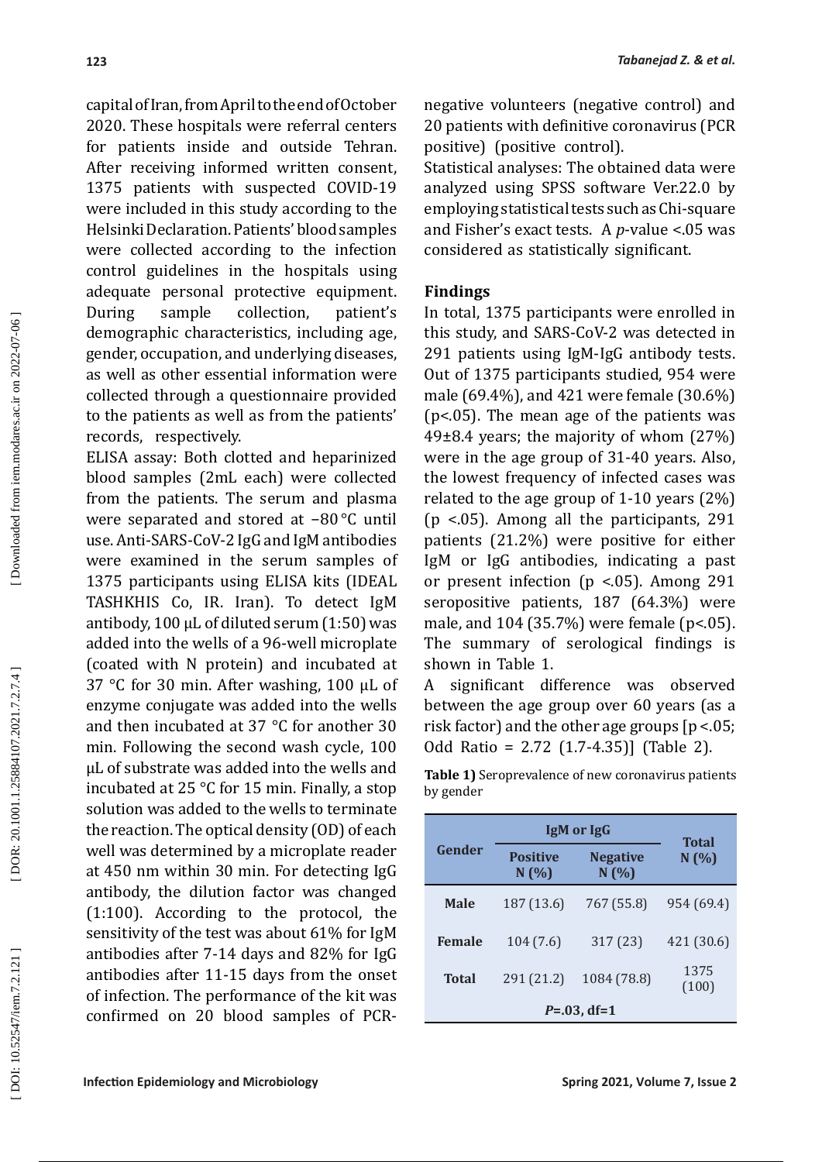capital of Iran, from April to the end of October 2020. These hospitals were referral centers for patients inside and outside Tehran. After receiving informed written consent, 1375 patients with suspected COVID-19 were included in this study according to the Helsinki Declaration. Patients' blood samples were collected according to the infection control guidelines in the hospitals using adequate personal protective equipment.<br>During sample collection, patient's collection, patient's demographic characteristics, including age, gender, occupation, and underlying diseases, as well as other essential information were collected through a questionnaire provided to the patients as well as from the patients' records, respectively.

ELISA assay: Both clotted and heparinized blood samples (2mL each) were collected from the patients. The serum and plasma were separated and stored at −80 °C until use. Anti-SARS-CoV-2 IgG and IgM antibodies were examined in the serum samples of 1375 participants using ELISA kits (IDEAL TASHKHIS Co, IR. Iran). To detect IgM antibody, 100  $\mu$ L of diluted serum (1:50) was added into the wells of a 96-well microplate (coated with N protein) and incubated at 37 °C for 30 min. After washing, 100 µL of enzyme conjugate was added into the wells and then incubated at 37 °C for another 30 min. Following the second wash cycle, 100 µL of substrate was added into the wells and incubated at 25 °C for 15 min. Finally, a stop solution was added to the wells to terminate the reaction. The optical density (OD) of each well was determined by a microplate reader at 450 nm within 30 min. For detecting IgG antibody, the dilution factor was changed (1:100). According to the protocol, the sensitivity of the test was about 61% for IgM antibodies after 7-14 days and 82% for IgG antibodies after 11-15 days from the onset of infection. The performance of the kit was confirmed on 20 blood samples of PCR-

negative volunteers (negative control) and 20 patients with definitive coronavirus (PCR positive) (positive control).

Statistical analyses: The obtained data were analyzed using SPSS software Ver.22.0 by employing statistical tests such as Chi-square and Fisher's exact tests. A *p*-value <.05 was considered as statistically significant.

## **Findings**

In total, 1375 participants were enrolled in this study, and SARS -CoV-2 was detected in 291 patients using IgM -IgG antibody tests. Out of 1375 participants studied, 954 were male (69.4%), and 421 were female (30.6%) (p<.05). The mean age of the patients was 49±8.4 years; the majority of whom (27%) were in the age group of 31-40 years. Also, the lowest frequency of infected cases was related to the age group of 1-10 years (2%) (p <.05). Among all the participants, 291 patients (21.2%) were positive for either IgM or IgG antibodies, indicating a past or present infection (p <.05). Among 291 seropositive patients, 187 (64.3%) were male, and 104 (35.7%) were female (p<.05). The summary of serological findings is shown in Table 1.

A significant difference was observed between the age group over 60 years (as a risk factor) and the other age groups [p <.05; Odd Ratio = 2.72 (1.7-4.35)] (Table 2).

| Gender           | IgM or IgG               |                          | <b>Total</b>  |  |  |
|------------------|--------------------------|--------------------------|---------------|--|--|
|                  | <b>Positive</b><br>N(% ) | <b>Negative</b><br>N(% ) | N(% )         |  |  |
| <b>Male</b>      | 187 (13.6)               | 767 (55.8)               | 954 (69.4)    |  |  |
| <b>Female</b>    | 104(7.6)                 | 317 (23)                 | 421 (30.6)    |  |  |
| <b>Total</b>     | 291 (21.2)               | 1084 (78.8)              | 1375<br>(100) |  |  |
| $P = .03$ , df=1 |                          |                          |               |  |  |

| <b>Table 1)</b> Seroprevalence of new coronavirus patients |
|------------------------------------------------------------|
| by gender                                                  |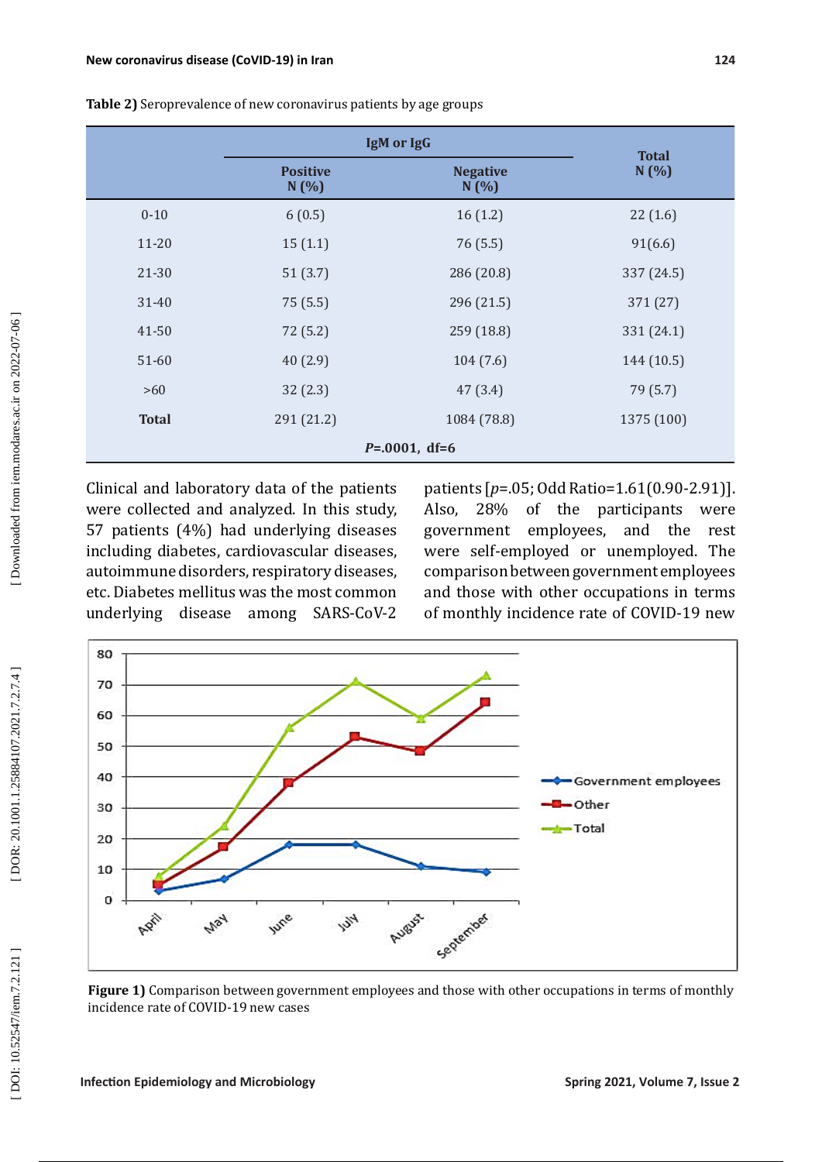|                   | IgM or IgG              |                         | <b>Total</b> |  |  |
|-------------------|-------------------------|-------------------------|--------------|--|--|
|                   | <b>Positive</b><br>N(%) | <b>Negative</b><br>N(%) | N(%)         |  |  |
| $0 - 10$          | 6(0.5)                  | 16(1.2)                 | 22(1.6)      |  |  |
| $11 - 20$         | 15(1.1)                 | 76 (5.5)                | 91(6.6)      |  |  |
| 21-30             | 51(3.7)                 | 286 (20.8)              | 337 (24.5)   |  |  |
| $31 - 40$         | 75 (5.5)                | 296 (21.5)              | 371 (27)     |  |  |
| 41-50             | 72 (5.2)                | 259 (18.8)              | 331 (24.1)   |  |  |
| $51 - 60$         | 40(2.9)                 | 104(7.6)                | 144 (10.5)   |  |  |
| >60               | 32(2.3)                 | 47(3.4)                 | 79 (5.7)     |  |  |
| <b>Total</b>      | 291 (21.2)              | 1084 (78.8)             | 1375 (100)   |  |  |
| $P = 0001$ , df=6 |                         |                         |              |  |  |

**Table 2)** Seroprevalence of new coronavirus patients by age groups

Clinical and laboratory data of the patients were collected and analyzed. In this study, 57 patients (4%) had underlying diseases including diabetes, cardiovascular diseases, autoimmune disorders, respiratory diseases, etc. Diabetes mellitus was the most common underlying disease among SARS -CoV-2

patients [ *p*=.05; Odd Ratio=1.61(0.90-2.91)]. Also, 28% of the participants were government employees, and the rest were self-employed or unemployed. The comparison between government employees and those with other occupations in terms of monthly incidence rate of COVID-19 new



**Figure 1)** Comparison between government employees and those with other occupations in terms of monthly incidence rate of COVID-19 new cases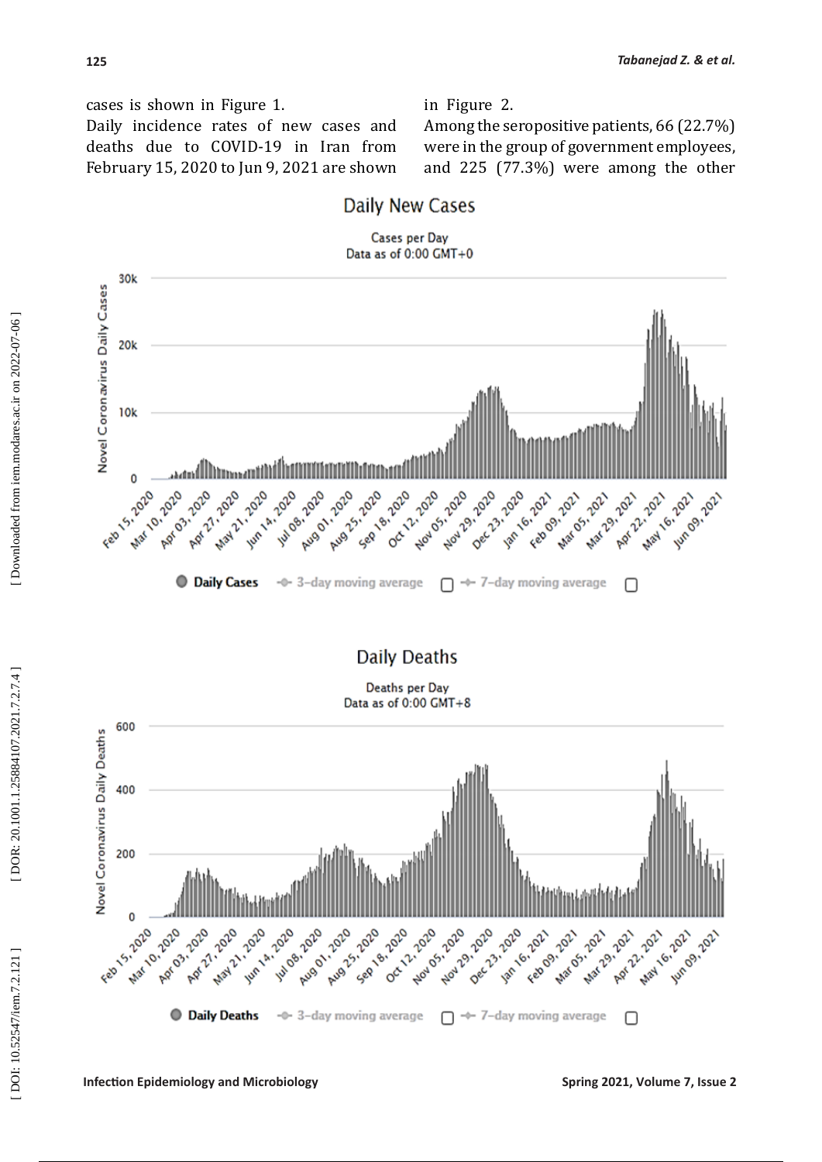cases is shown in Figure 1. Daily incidence rates of new cases and deaths due to COVID-19 in Iran from February 15, 2020 to Jun 9, 2021 are shown in Figure 2. Among the seropositive patients, 66 (22.7%) were in the group of government employees, and 225 (77.3%) were among the other



**Daily Deaths** 

Deaths per Day Data as of 0:00 GMT+8

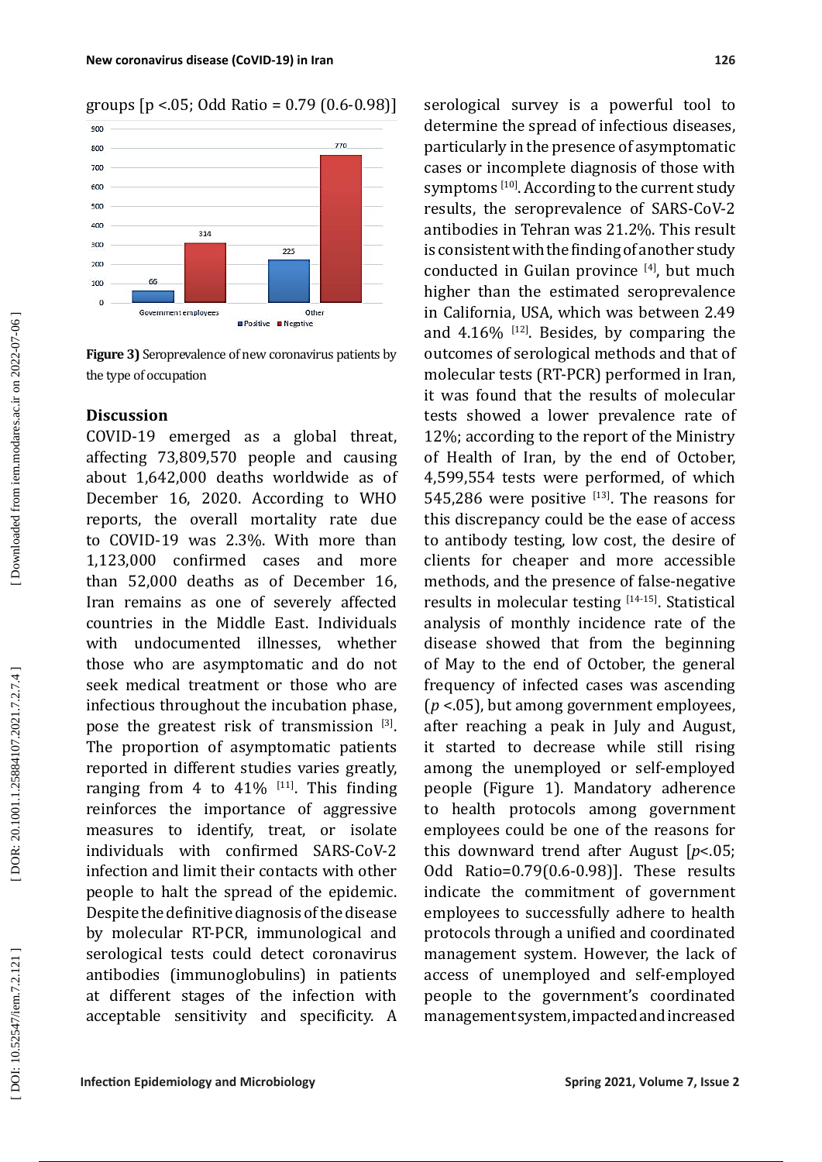groups [p <.05; Odd Ratio = 0.79 (0.6-0.98)]



**Figure 3)** Seroprevalence of new coronavirus patients by the type of occupation

## **Discussion**

COVID-19 emerged as a global threat, affecting 73,809,570 people and causing about 1,642,000 deaths worldwide as of December 16, 2020. According to WHO reports, the overall mortality rate due to COVID-19 was 2.3%. With more than 1,123,000 confirmed cases and more than 52,000 deaths as of December 16, Iran remains as one of severely affected countries in the Middle East. Individuals with undocumented illnesses, whether those who are asymptomatic and do not seek medical treatment or those who are infectious throughout the incubation phase, pose the greatest risk of transmission <sup>[3]</sup>. The proportion of asymptomatic patients reported in different studies varies greatly, ranging from 4 to  $41\%$  <sup>[11]</sup>. This finding reinforces the importance of aggressive measures to identify, treat, or isolate individuals with confirmed SARS-CoV-2 infection and limit their contacts with other people to halt the spread of the epidemic. Despite the definitive diagnosis of the disease by molecular RT-PCR, immunological and serological tests could detect coronavirus antibodies (immunoglobulins) in patients at different stages of the infection with acceptable sensitivity and specificity. A

serological survey is a powerful tool to determine the spread of infectious diseases, particularly in the presence of asymptomatic cases or incomplete diagnosis of those with symptoms  $110$ . According to the current study results, the seroprevalence of SARS-CoV-2 antibodies in Tehran was 21.2%. This result is consistent with the finding of another study conducted in Guilan province  $[4]$ , but much higher than the estimated seroprevalence in California, USA, which was between 2.49 and  $4.16\%$  <sup>[12]</sup>. Besides, by comparing the outcomes of serological methods and that of molecular tests (RT-PCR) performed in Iran, it was found that the results of molecular tests showed a lower prevalence rate of 12%; according to the report of the Ministry of Health of Iran, by the end of October, 4,599,554 tests were performed, of which 545,286 were positive  $[13]$ . The reasons for this discrepancy could be the ease of access to antibody testing, low cost, the desire of clients for cheaper and more accessible methods, and the presence of false-negative results in molecular testing <sup>[14-15]</sup>. Statistical analysis of monthly incidence rate of the disease showed that from the beginning of May to the end of October, the general frequency of infected cases was ascending (*<sup>p</sup>* <.05), but among government employees, after reaching a peak in July and August, it started to decrease while still rising among the unemployed or self-employed people (Figure 1). Mandatory adherence to health protocols among government employees could be one of the reasons for this downward trend after August [ *p*<.05; Odd Ratio=0.79(0.6-0.98)]. These results indicate the commitment of government employees to successfully adhere to health protocols through a unified and coordinated management system. However, the lack of access of unemployed and self-employed people to the government's coordinated management system, impacted and increased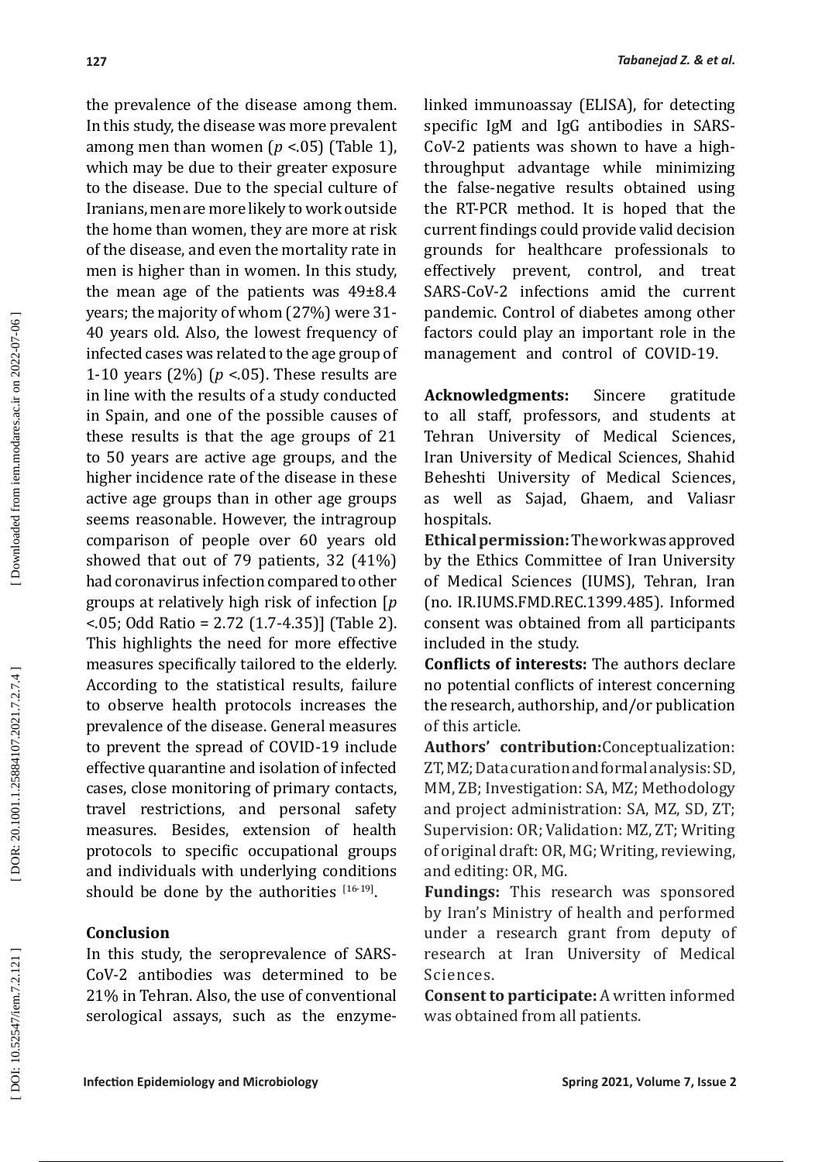the prevalence of the disease among them. In this study, the disease was more prevalent among men than women ( *p* <.05) (Table 1), which may be due to their greater exposure to the disease. Due to the special culture of Iranians, men are more likely to work outside the home than women, they are more at risk of the disease, and even the mortality rate in men is higher than in women. In this study, the mean age of the patients was 49±8.4 years; the majority of whom (27%) were 31- 40 years old. Also, the lowest frequency of infected cases was related to the age group of 1-10 years (2%) ( *p* <.05). These results are in line with the results of a study conducted in Spain, and one of the possible causes of these results is that the age groups of 21 to 50 years are active age groups, and the higher incidence rate of the disease in these active age groups than in other age groups seems reasonable. However, the intragroup comparison of people over 60 years old showed that out of 79 patients, 32 (41%) had coronavirus infection compared to other groups at relatively high risk of infection [ *p* <.05; Odd Ratio = 2.72 (1.7-4.35)] (Table 2). This highlights the need for more effective measures specifically tailored to the elderly. According to the statistical results, failure to observe health protocols increases the prevalence of the disease. General measures to prevent the spread of COVID-19 include effective quarantine and isolation of infected cases, close monitoring of primary contacts, travel restrictions, and personal safety measures. Besides, extension of health protocols to specific occupational groups and individuals with underlying conditions should be done by the authorities  $[16-19]$ .

## **Conclusion**

In this study, the seroprevalence of SARS-CoV-2 antibodies was determined to be 21% in Tehran. Also, the use of conventional serological assays, such as the enzymelinked immunoassay (ELISA), for detecting specific IgM and IgG antibodies in SARS ‐ CoV-2 patients was shown to have a highthroughput advantage while minimizing the false-negative results obtained using the RT-PCR method. It is hoped that the current findings could provide valid decision grounds for healthcare professionals to effectively prevent, control, and treat SARS-CoV-2 infections amid the current pandemic. Control of diabetes among other factors could play an important role in the management and control of COVID-19.

**Acknowledgments:** Sincere gratitude to all staff, professors, and students at Tehran University of Medical Sciences, Iran University of Medical Sciences, Shahid Beheshti University of Medical Sciences, as well as Sajad, Ghaem, and Valiasr hospitals.

**Ethical permission:**The work was approved by the Ethics Committee of Iran University of Medical Sciences (IUMS), Tehran, Iran (no. IR.IUMS.FMD.REC.1399.485). Informed consent was obtained from all participants included in the study.

**Conflicts of interests:** The authors declare no potential conflicts of interest concerning the research, authorship, and/or publication of this article.

**Authors' contribution:**Conceptualization: ZT, MZ; Data curation and formal analysis: SD, MM, ZB; Investigation: SA, MZ; Methodology and project administration: SA, MZ, SD, ZT; Supervision: OR; Validation: MZ, ZT; Writing of original draft: OR, MG; Writing, reviewing, and editing: OR, MG.

**Fundings:** This research was sponsored by Iran's Ministry of health and performed under a research grant from deputy of research at Iran University of Medical Sciences.

**Consent to participate:** A written informed was obtained from all patients.